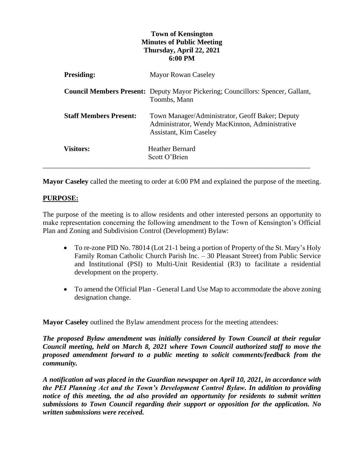## **Town of Kensington Minutes of Public Meeting Thursday, April 22, 2021 6:00 PM**

| <b>Presiding:</b>             | <b>Mayor Rowan Caseley</b>                                                                                                         |
|-------------------------------|------------------------------------------------------------------------------------------------------------------------------------|
|                               | <b>Council Members Present:</b> Deputy Mayor Pickering; Councillors: Spencer, Gallant,<br>Toombs, Mann                             |
| <b>Staff Members Present:</b> | Town Manager/Administrator, Geoff Baker; Deputy<br>Administrator, Wendy MacKinnon, Administrative<br><b>Assistant, Kim Caseley</b> |
| <b>Visitors:</b>              | <b>Heather Bernard</b><br>Scott O'Brien                                                                                            |

**Mayor Caseley** called the meeting to order at 6:00 PM and explained the purpose of the meeting.

## **PURPOSE:**

The purpose of the meeting is to allow residents and other interested persons an opportunity to make representation concerning the following amendment to the Town of Kensington's Official Plan and Zoning and Subdivision Control (Development) Bylaw:

- To re-zone PID No. 78014 (Lot 21-1 being a portion of Property of the St. Mary's Holy Family Roman Catholic Church Parish Inc. – 30 Pleasant Street) from Public Service and Institutional (PSI) to Multi-Unit Residential (R3) to facilitate a residential development on the property.
- To amend the Official Plan General Land Use Map to accommodate the above zoning designation change.

**Mayor Caseley** outlined the Bylaw amendment process for the meeting attendees:

*The proposed Bylaw amendment was initially considered by Town Council at their regular Council meeting, held on March 8, 2021 where Town Council authorized staff to move the proposed amendment forward to a public meeting to solicit comments/feedback from the community.*

*A notification ad was placed in the Guardian newspaper on April 10, 2021, in accordance with the PEI Planning Act and the Town's Development Control Bylaw. In addition to providing notice of this meeting, the ad also provided an opportunity for residents to submit written submissions to Town Council regarding their support or opposition for the application. No written submissions were received.*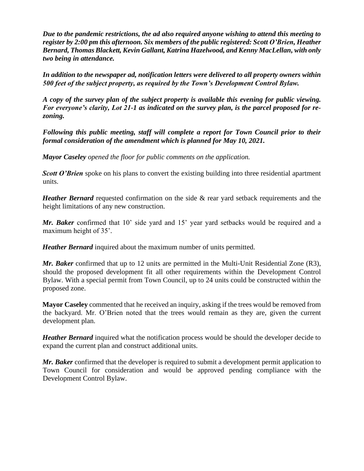*Due to the pandemic restrictions, the ad also required anyone wishing to attend this meeting to register by 2:00 pm this afternoon. Six members of the public registered: Scott O'Brien, Heather Bernard, Thomas Blackett, Kevin Gallant, Katrina Hazelwood, and Kenny MacLellan, with only two being in attendance.* 

*In addition to the newspaper ad, notification letters were delivered to all property owners within 500 feet of the subject property, as required by the Town's Development Control Bylaw.* 

*A copy of the survey plan of the subject property is available this evening for public viewing. For everyone's clarity, Lot 21-1 as indicated on the survey plan, is the parcel proposed for rezoning.* 

*Following this public meeting, staff will complete a report for Town Council prior to their formal consideration of the amendment which is planned for May 10, 2021.* 

*Mayor Caseley opened the floor for public comments on the application.* 

*Scott O'Brien* spoke on his plans to convert the existing building into three residential apartment units.

*Heather Bernard* requested confirmation on the side & rear yard setback requirements and the height limitations of any new construction.

*Mr. Baker* confirmed that 10' side yard and 15' year yard setbacks would be required and a maximum height of 35'.

*Heather Bernard* inquired about the maximum number of units permitted.

*Mr. Baker* confirmed that up to 12 units are permitted in the Multi-Unit Residential Zone (R3), should the proposed development fit all other requirements within the Development Control Bylaw. With a special permit from Town Council, up to 24 units could be constructed within the proposed zone.

**Mayor Caseley** commented that he received an inquiry, asking if the trees would be removed from the backyard. Mr. O'Brien noted that the trees would remain as they are, given the current development plan.

*Heather Bernard* inquired what the notification process would be should the developer decide to expand the current plan and construct additional units.

*Mr. Baker* confirmed that the developer is required to submit a development permit application to Town Council for consideration and would be approved pending compliance with the Development Control Bylaw.